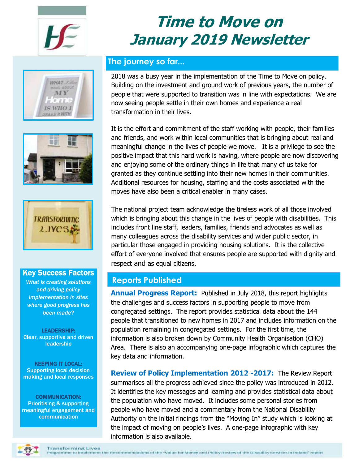







#### Key Success Factors

*What is creating solutions and driving policy implementation in sites where good progress has been made?*

LEADERSHIP: Clear, supportive and driven leadership

KEEPING IT LOCAL: Supporting local decision making and local responses

COMMUNICATION: Prioritising & supporting meaningful engagement and communication

# **Time to Move on January 2019 Newsletter**

# **The journey so far...**

2018 was a busy year in the implementation of the Time to Move on policy. Building on the investment and ground work of previous years, the number of people that were supported to transition was in line with expectations. We are now seeing people settle in their own homes and experience a real transformation in their lives.

It is the effort and commitment of the staff working with people, their families and friends, and work within local communities that is bringing about real and meaningful change in the lives of people we move. It is a privilege to see the positive impact that this hard work is having, where people are now discovering and enjoying some of the ordinary things in life that many of us take for granted as they continue settling into their new homes in their communities. Additional resources for housing, staffing and the costs associated with the moves have also been a critical enabler in many cases.

The national project team acknowledge the tireless work of all those involved which is bringing about this change in the lives of people with disabilities. This includes front line staff, leaders, families, friends and advocates as well as many colleagues across the disability services and wider public sector, in particular those engaged in providing housing solutions. It is the collective effort of everyone involved that ensures people are supported with dignity and respect and as equal citizens.

# **Reports Published**

**Annual Progress Report:** Published in July 2018, this report highlights the challenges and success factors in supporting people to move from congregated settings. The report provides statistical data about the 144 people that transitioned to new homes in 2017 and includes information on the population remaining in congregated settings. For the first time, the information is also broken down by Community Health Organisation (CHO) Area. There is also an accompanying one-page infographic which captures the key data and information.

**Review of Policy Implementation 2012 -2017:** The Review Report summarises all the progress achieved since the policy was introduced in 2012. It identifies the key messages and learning and provides statistical data about the population who have moved. It includes some personal stories from people who have moved and a commentary from the National Disability Authority on the initial findings from the "Moving In" study which is looking at the impact of moving on people's lives. A one-page infographic with key information is also available.

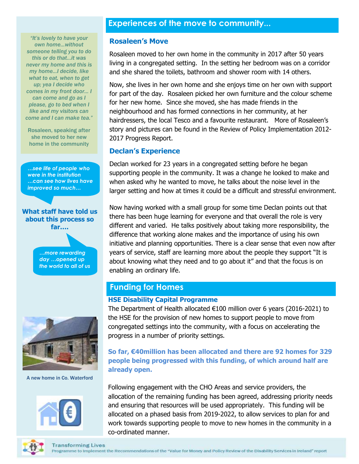# **Experiences of the move to community...**

*"It's lovely to have your own home...without someone telling you to do this or do that…it was never my home and this is my home…I decide, like what to eat, when to get up; yea I decide who comes in my front door… I can come and go as I please, go to bed when I like and my visitors can come and I can make tea."*

Rosaleen, speaking after she moved to her new home in the community

*…see life of people who were in the institution …can see how lives have improved so much…*



*…more rewarding day …opened up the world to all of us*



A new home in Co. Waterford



#### **Rosaleen's Move**

Rosaleen moved to her own home in the community in 2017 after 50 years living in a congregated setting. In the setting her bedroom was on a corridor and she shared the toilets, bathroom and shower room with 14 others.

Now, she lives in her own home and she enjoys time on her own with support for part of the day. Rosaleen picked her own furniture and the colour scheme for her new home. Since she moved, she has made friends in the neighbourhood and has formed connections in her community, at her hairdressers, the local Tesco and a favourite restaurant. More of Rosaleen's story and pictures can be found in the Review of Policy Implementation 2012- 2017 Progress Report.

#### **Declan's Experience**

Declan worked for 23 years in a congregated setting before he began supporting people in the community. It was a change he looked to make and when asked why he wanted to move, he talks about the noise level in the larger setting and how at times it could be a difficult and stressful environment.

Now having worked with a small group for some time Declan points out that there has been huge learning for everyone and that overall the role is very different and varied. He talks positively about taking more responsibility, the difference that working alone makes and the importance of using his own initiative and planning opportunities. There is a clear sense that even now after years of service, staff are learning more about the people they support "It is about knowing what they need and to go about it" and that the focus is on enabling an ordinary life.

### **Funding for Homes**

#### **HSE Disability Capital Programme**

The Department of Health allocated €100 million over 6 years (2016-2021) to the HSE for the provision of new homes to support people to move from congregated settings into the community, with a focus on accelerating the progress in a number of priority settings.

**So far, €40million has been allocated and there are 92 homes for 329 people being progressed with this funding, of which around half are already open.**

Following engagement with the CHO Areas and service providers, the allocation of the remaining funding has been agreed, addressing priority needs and ensuring that resources will be used appropriately. This funding will be allocated on a phased basis from 2019-2022, to allow services to plan for and work towards supporting people to move to new homes in the community in a co-ordinated manner.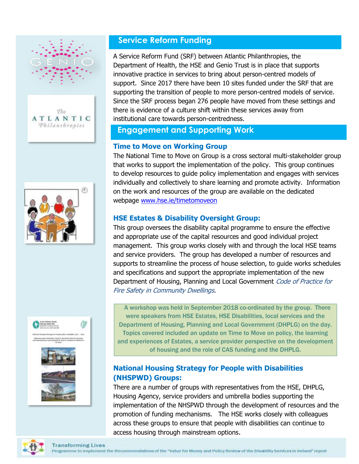







# **Service Reform Funding**

A Service Reform Fund (SRF) between Atlantic Philanthropies, the Department of Health, the HSE and Genio Trust is in place that supports innovative practice in services to bring about person-centred models of support. Since 2017 there have been 10 sites funded under the SRF that are supporting the transition of people to more person-centred models of service. Since the SRF process began 276 people have moved from these settings and there is evidence of a culture shift within these services away from institutional care towards person-centredness.

# **Engagement and Supporting Work**

## **Time to Move on Working Group**

The National Time to Move on Group is a cross sectoral multi-stakeholder group that works to support the implementation of the policy. This group continues to develop resources to guide policy implementation and engages with services individually and collectively to share learning and promote activity. Information on the work and resources of the group are available on the dedicated webpage [www.hse.ie/timetomoveon](http://www.hse.ie/timetomoveon)

# **HSE Estates & Disability Oversight Group:**

This group oversees the disability capital programme to ensure the effective and appropriate use of the capital resources and good individual project management. This group works closely with and through the local HSE teams and service providers. The group has developed a number of resources and supports to streamline the process of house selection, to guide works schedules and specifications and support the appropriate implementation of the new Department of Housing, Planning and Local Government Code of Practice for Fire Safety in Community Dwellings.

A workshop was held in September 2018 co-ordinated by the group. There were speakers from HSE Estates, HSE Disabilities, local services and the Department of Housing, Planning and Local Government (DHPLG) on the day. Topics covered included an update on Time to Move on policy, the learning and experiences of Estates, a service provider perspective on the development of housing and the role of CAS funding and the DHPLG.

# **National Housing Strategy for People with Disabilities (NHSPWD) Groups:**

There are a number of groups with representatives from the HSE, DHPLG, Housing Agency, service providers and umbrella bodies supporting the implementation of the NHSPWD through the development of resources and the promotion of funding mechanisms. The HSE works closely with colleagues across these groups to ensure that people with disabilities can continue to access housing through mainstream options.